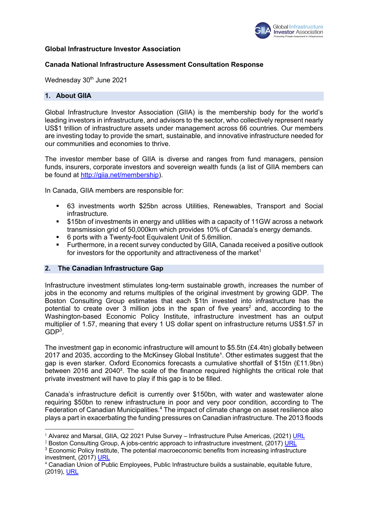

#### **Global Infrastructure Investor Association**

#### **Canada National Infrastructure Assessment Consultation Response**

Wednesday 30<sup>th</sup> June 2021

#### **1. About GIIA**

Global Infrastructure Investor Association (GIIA) is the membership body for the world's leading investors in infrastructure, and advisors to the sector, who collectively represent nearly US\$1 trillion of infrastructure assets under management across 66 countries. Our members are investing today to provide the smart, sustainable, and innovative infrastructure needed for our communities and economies to thrive.

The investor member base of GIIA is diverse and ranges from fund managers, pension funds, insurers, corporate investors and sovereign wealth funds (a list of GIIA members can be found at http://giia.net/membership).

In Canada, GIIA members are responsible for:

- § 63 investments worth \$25bn across Utilities, Renewables, Transport and Social infrastructure.
- \$15bn of investments in energy and utilities with a capacity of 11GW across a network transmission grid of 50,000km which provides 10% of Canada's energy demands.
- § 6 ports with a Twenty-foot Equivalent Unit of 5.6million.
- § Furthermore, in a recent survey conducted by GIIA, Canada received a positive outlook for investors for the opportunity and attractiveness of the market<sup>1</sup>

#### **2. The Canadian Infrastructure Gap**

Infrastructure investment stimulates long-term sustainable growth, increases the number of jobs in the economy and returns multiples of the original investment by growing GDP. The Boston Consulting Group estimates that each \$1tn invested into infrastructure has the potential to create over  $3$  million jobs in the span of five years<sup>2</sup> and, according to the Washington-based Economic Policy Institute, infrastructure investment has an output multiplier of 1.57, meaning that every 1 US dollar spent on infrastructure returns US\$1.57 in  $GDP<sup>3</sup>$ .

The investment gap in economic infrastructure will amount to \$5.5tn (£4.4tn) globally between 2017 and 2035, according to the McKinsey Global Institute<sup>1</sup>. Other estimates suggest that the gap is even starker. Oxford Economics forecasts a cumulative shortfall of \$15tn (£11.9bn) between 2016 and 2040². The scale of the finance required highlights the critical role that private investment will have to play if this gap is to be filled.

Canada's infrastructure deficit is currently over \$150bn, with water and wastewater alone requiring \$50bn to renew infrastructure in poor and very poor condition, according to The Federation of Canadian Municipalities.<sup>4</sup> The impact of climate change on asset resilience also plays a part in exacerbating the funding pressures on Canadian infrastructure. The 2013 floods

 $1$  Alvarez and Marsal, GIIA, Q2 2021 Pulse Survey – Infrastructure Pulse Americas, (2021) URL

 $2$  Boston Consulting Group, A jobs-centric approach to infrastructure investment, (2017) URL

<sup>&</sup>lt;sup>3</sup> Economic Policy Institute, The potential macroeconomic benefits from increasing infrastructure investment, (2017) URL

<sup>4</sup> Canadian Union of Public Employees, Public Infrastructure builds a sustainable, equitable future, (2019), URL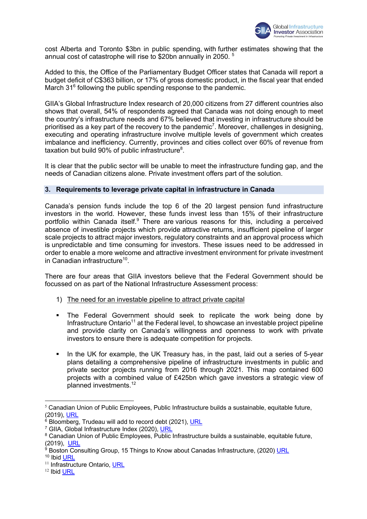

cost Alberta and Toronto \$3bn in public spending, with further estimates showing that the annual cost of catastrophe will rise to \$20bn annually in 2050. <sup>5</sup>

Added to this, the Office of the Parliamentary Budget Officer states that Canada will report a budget deficit of C\$363 billion, or 17% of gross domestic product, in the fiscal year that ended March 31<sup>6</sup> following the public spending response to the pandemic.

GIIA's Global Infrastructure Index research of 20,000 citizens from 27 different countries also shows that overall, 54% of respondents agreed that Canada was not doing enough to meet the country's infrastructure needs and 67% believed that investing in infrastructure should be prioritised as a key part of the recovery to the pandemic<sup>7</sup>. Moreover, challenges in designing, executing and operating infrastructure involve multiple levels of government which creates imbalance and inefficiency. Currently, provinces and cities collect over 60% of revenue from taxation but build 90% of public infrastructure $8$ .

It is clear that the public sector will be unable to meet the infrastructure funding gap, and the needs of Canadian citizens alone. Private investment offers part of the solution.

# **3. Requirements to leverage private capital in infrastructure in Canada**

Canada's pension funds include the top 6 of the 20 largest pension fund infrastructure investors in the world. However, these funds invest less than 15% of their infrastructure portfolio within Canada itself.<sup>9</sup> There are various reasons for this, including a perceived absence of investible projects which provide attractive returns, insufficient pipeline of larger scale projects to attract major investors, regulatory constraints and an approval process which is unpredictable and time consuming for investors. These issues need to be addressed in order to enable a more welcome and attractive investment environment for private investment in Canadian infrastructure<sup>10</sup>.

There are four areas that GIIA investors believe that the Federal Government should be focussed on as part of the National Infrastructure Assessment process:

- 1) The need for an investable pipeline to attract private capital
- § The Federal Government should seek to replicate the work being done by Infrastructure Ontario<sup>11</sup> at the Federal level, to showcase an investable project pipeline and provide clarity on Canada's willingness and openness to work with private investors to ensure there is adequate competition for projects.
- In the UK for example, the UK Treasury has, in the past, laid out a series of 5-year plans detailing a comprehensive pipeline of infrastructure investments in public and private sector projects running from 2016 through 2021. This map contained 600 projects with a combined value of £425bn which gave investors a strategic view of planned investments.12

 $5$  Canadian Union of Public Employees, Public Infrastructure builds a sustainable, equitable future, (2019), URL

 $6$  Bloomberg, Trudeau will add to record debt (2021), URL

<sup>&</sup>lt;sup>7</sup> GIIA, Global Infrastructure Index (2020), URL

<sup>&</sup>lt;sup>8</sup> Canadian Union of Public Employees, Public Infrastructure builds a sustainable, equitable future, (2019), URL

 $9$  Boston Consulting Group, 15 Things to Know about Canadas Infrastructure, (2020) URL

<sup>10</sup> Ibid URL

<sup>&</sup>lt;sup>11</sup> Infrastructure Ontario, URL

<sup>12</sup> Ibid URL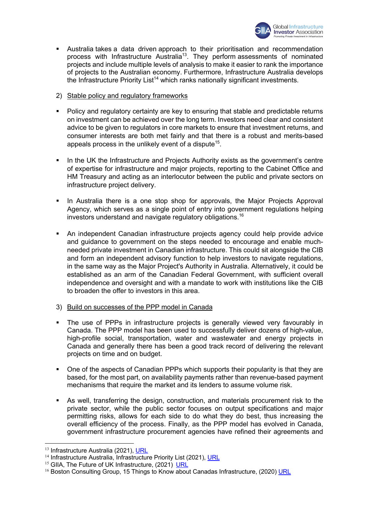

- **•** Australia takes a data driven approach to their prioritisation and recommendation process with Infrastructure Australia13. They perform assessments of nominated projects and include multiple levels of analysis to make it easier to rank the importance of projects to the Australian economy. Furthermore, Infrastructure Australia develops the Infrastructure Priority List<sup>14</sup> which ranks nationally significant investments.
- 2) Stable policy and regulatory frameworks
- Policy and regulatory certainty are key to ensuring that stable and predictable returns on investment can be achieved over the long term. Investors need clear and consistent advice to be given to regulators in core markets to ensure that investment returns, and consumer interests are both met fairly and that there is a robust and merits-based appeals process in the unlikely event of a dispute<sup>15</sup>.
- In the UK the Infrastructure and Projects Authority exists as the government's centre of expertise for infrastructure and major projects, reporting to the Cabinet Office and HM Treasury and acting as an interlocutor between the public and private sectors on infrastructure project delivery.
- **•** In Australia there is a one stop shop for approvals, the Major Projects Approval Agency, which serves as a single point of entry into government regulations helping investors understand and navigate regulatory obligations.16
- An independent Canadian infrastructure projects agency could help provide advice and guidance to government on the steps needed to encourage and enable muchneeded private investment in Canadian infrastructure. This could sit alongside the CIB and form an independent advisory function to help investors to navigate regulations, in the same way as the Major Project's Authority in Australia. Alternatively, it could be established as an arm of the Canadian Federal Government, with sufficient overall independence and oversight and with a mandate to work with institutions like the CIB to broaden the offer to investors in this area.
- 3) Build on successes of the PPP model in Canada
- The use of PPPs in infrastructure projects is generally viewed very favourably in Canada. The PPP model has been used to successfully deliver dozens of high-value, high-profile social, transportation, water and wastewater and energy projects in Canada and generally there has been a good track record of delivering the relevant projects on time and on budget.
- One of the aspects of Canadian PPPs which supports their popularity is that they are based, for the most part, on availability payments rather than revenue-based payment mechanisms that require the market and its lenders to assume volume risk.
- As well, transferring the design, construction, and materials procurement risk to the private sector, while the public sector focuses on output specifications and major permitting risks, allows for each side to do what they do best, thus increasing the overall efficiency of the process. Finally, as the PPP model has evolved in Canada, government infrastructure procurement agencies have refined their agreements and

<sup>&</sup>lt;sup>13</sup> Infrastructure Australia (2021), URL

<sup>&</sup>lt;sup>14</sup> Infrastructure Australia, Infrastructure Priority List (2021), URL

<sup>&</sup>lt;sup>15</sup> GIIA, The Future of UK Infrastructure, (2021) URL

 $16$  Boston Consulting Group, 15 Things to Know about Canadas Infrastructure, (2020) URL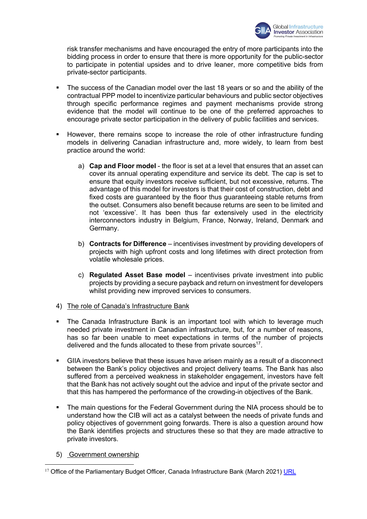

risk transfer mechanisms and have encouraged the entry of more participants into the bidding process in order to ensure that there is more opportunity for the public-sector to participate in potential upsides and to drive leaner, more competitive bids from private-sector participants.

- The success of the Canadian model over the last 18 years or so and the ability of the contractual PPP model to incentivize particular behaviours and public sector objectives through specific performance regimes and payment mechanisms provide strong evidence that the model will continue to be one of the preferred approaches to encourage private sector participation in the delivery of public facilities and services.
- § However, there remains scope to increase the role of other infrastructure funding models in delivering Canadian infrastructure and, more widely, to learn from best practice around the world:
	- a) **Cap and Floor model** the floor is set at a level that ensures that an asset can cover its annual operating expenditure and service its debt. The cap is set to ensure that equity investors receive sufficient, but not excessive, returns. The advantage of this model for investors is that their cost of construction, debt and fixed costs are guaranteed by the floor thus guaranteeing stable returns from the outset. Consumers also benefit because returns are seen to be limited and not 'excessive'. It has been thus far extensively used in the electricity interconnectors industry in Belgium, France, Norway, Ireland, Denmark and Germany.
	- b) **Contracts for Difference**  incentivises investment by providing developers of projects with high upfront costs and long lifetimes with direct protection from volatile wholesale prices.
	- c) **Regulated Asset Base model**  incentivises private investment into public projects by providing a secure payback and return on investment for developers whilst providing new improved services to consumers.
- 4) The role of Canada's Infrastructure Bank
- The Canada Infrastructure Bank is an important tool with which to leverage much needed private investment in Canadian infrastructure, but, for a number of reasons, has so far been unable to meet expectations in terms of the number of projects delivered and the funds allocated to these from private sources<sup>17</sup>.
- § GIIA investors believe that these issues have arisen mainly as a result of a disconnect between the Bank's policy objectives and project delivery teams. The Bank has also suffered from a perceived weakness in stakeholder engagement, investors have felt that the Bank has not actively sought out the advice and input of the private sector and that this has hampered the performance of the crowding-in objectives of the Bank.
- The main questions for the Federal Government during the NIA process should be to understand how the CIB will act as a catalyst between the needs of private funds and policy objectives of government going forwards. There is also a question around how the Bank identifies projects and structures these so that they are made attractive to private investors.
- 5) Government ownership

<sup>&</sup>lt;sup>17</sup> Office of the Parliamentary Budget Officer, Canada Infrastructure Bank (March 2021) URL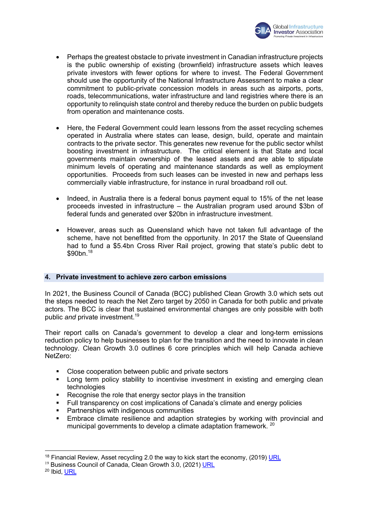

- Perhaps the greatest obstacle to private investment in Canadian infrastructure projects is the public ownership of existing (brownfield) infrastructure assets which leaves private investors with fewer options for where to invest. The Federal Government should use the opportunity of the National Infrastructure Assessment to make a clear commitment to public-private concession models in areas such as airports, ports, roads, telecommunications, water infrastructure and land registries where there is an opportunity to relinquish state control and thereby reduce the burden on public budgets from operation and maintenance costs.
- Here, the Federal Government could learn lessons from the asset recycling schemes operated in Australia where states can lease, design, build, operate and maintain contracts to the private sector. This generates new revenue for the public sector whilst boosting investment in infrastructure. The critical element is that State and local governments maintain ownership of the leased assets and are able to stipulate minimum levels of operating and maintenance standards as well as employment opportunities. Proceeds from such leases can be invested in new and perhaps less commercially viable infrastructure, for instance in rural broadband roll out.
- Indeed, in Australia there is a federal bonus payment equal to 15% of the net lease proceeds invested in infrastructure – the Australian program used around \$3bn of federal funds and generated over \$20bn in infrastructure investment.
- However, areas such as Queensland which have not taken full advantage of the scheme, have not benefitted from the opportunity. In 2017 the State of Queensland had to fund a \$5.4bn Cross River Rail project, growing that state's public debt to  $$90bn.<sup>18</sup>$

# **4. Private investment to achieve zero carbon emissions**

In 2021, the Business Council of Canada (BCC) published Clean Growth 3.0 which sets out the steps needed to reach the Net Zero target by 2050 in Canada for both public and private actors. The BCC is clear that sustained environmental changes are only possible with both public *and* private investment.19

Their report calls on Canada's government to develop a clear and long-term emissions reduction policy to help businesses to plan for the transition and the need to innovate in clean technology. Clean Growth 3.0 outlines 6 core principles which will help Canada achieve NetZero:

- Close cooperation between public and private sectors
- Long term policy stability to incentivise investment in existing and emerging clean technologies
- Recognise the role that energy sector plays in the transition
- § Full transparency on cost implications of Canada's climate and energy policies
- Partnerships with indigenous communities
- § Embrace climate resilience and adaption strategies by working with provincial and municipal governments to develop a climate adaptation framework. <sup>20</sup>

<sup>&</sup>lt;sup>18</sup> Financial Review, Asset recycling 2.0 the way to kick start the economy, (2019) URL

<sup>&</sup>lt;sup>19</sup> Business Council of Canada, Clean Growth 3.0, (2021) URL

<sup>20</sup> Ibid, URL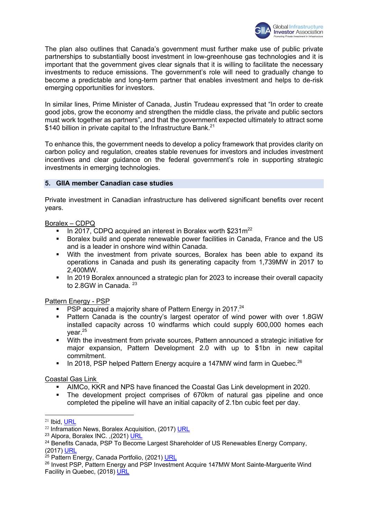

The plan also outlines that Canada's government must further make use of public private partnerships to substantially boost investment in low-greenhouse gas technologies and it is important that the government gives clear signals that it is willing to facilitate the necessary investments to reduce emissions. The government's role will need to gradually change to become a predictable and long-term partner that enables investment and helps to de-risk emerging opportunities for investors.

In similar lines, Prime Minister of Canada, Justin Trudeau expressed that "In order to create good jobs, grow the economy and strengthen the middle class, the private and public sectors must work together as partners", and that the government expected ultimately to attract some \$140 billion in private capital to the Infrastructure Bank.<sup>21</sup>

To enhance this, the government needs to develop a policy framework that provides clarity on carbon policy and regulation, creates stable revenues for investors and includes investment incentives and clear guidance on the federal government's role in supporting strategic investments in emerging technologies.

# **5. GIIA member Canadian case studies**

Private investment in Canadian infrastructure has delivered significant benefits over recent years.

# Boralex – CDPQ

- **In 2017, CDPQ acquired an interest in Boralex worth**  $$231m^{22}$
- § Boralex build and operate renewable power facilities in Canada, France and the US and is a leader in onshore wind within Canada.
- § With the investment from private sources, Boralex has been able to expand its operations in Canada and push its generating capacity from 1,739MW in 2017 to 2,400MW.
- In 2019 Boralex announced a strategic plan for 2023 to increase their overall capacity to 2.8GW in Canada.<sup>23</sup>

Pattern Energy - PSP

- **PSP** acquired a majority share of Pattern Energy in 2017.<sup>24</sup>
- Pattern Canada is the country's largest operator of wind power with over 1.8GW installed capacity across 10 windfarms which could supply 600,000 homes each year.<sup>25</sup>
- With the investment from private sources, Pattern announced a strategic initiative for major expansion, Pattern Development 2.0 with up to \$1bn in new capital commitment.
- **In 2018, PSP helped Pattern Energy acquire a 147MW wind farm in Quebec.**<sup>26</sup>

Coastal Gas Link

- § AIMCo, KKR and NPS have financed the Coastal Gas Link development in 2020.
- § The development project comprises of 670km of natural gas pipeline and once completed the pipeline will have an initial capacity of 2.1bn cubic feet per day.

 $21$  Ibid, URL

 $22$  Inframation News, Boralex Acquisition, (2017) URL

<sup>&</sup>lt;sup>23</sup> Alpora, Boralex INC. , (2021) URL

 $24$  Benefits Canada, PSP To Become Largest Shareholder of US Renewables Energy Company, (2017) URL

<sup>&</sup>lt;sup>25</sup> Pattern Energy, Canada Portfolio, (2021) URL

<sup>&</sup>lt;sup>26</sup> Invest PSP, Pattern Energy and PSP Investment Acquire 147MW Mont Sainte-Marguerite Wind Facility in Quebec, (2018) URL